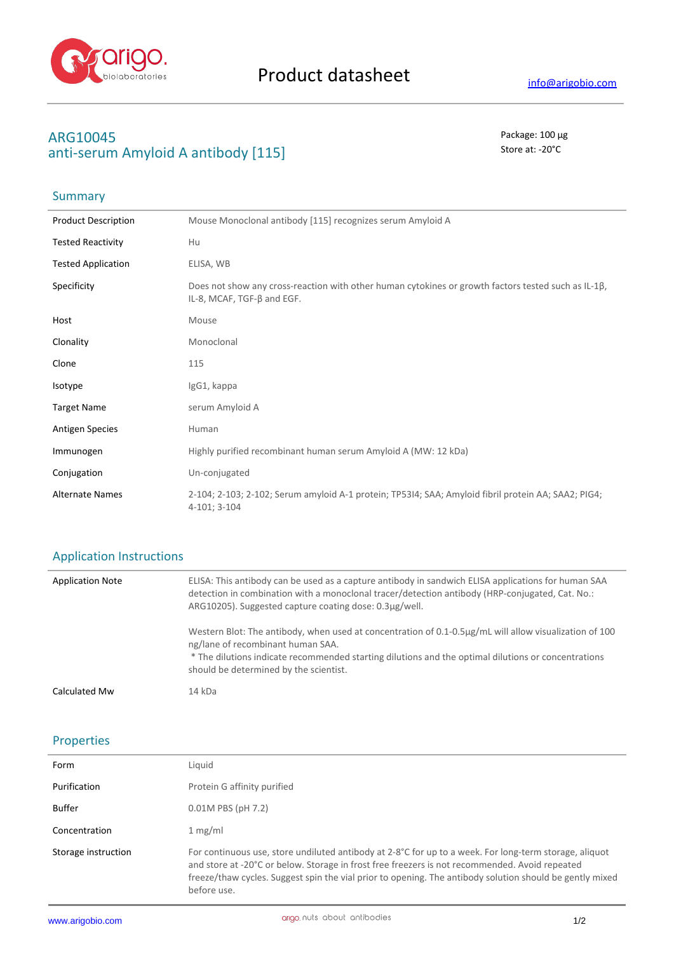

# **ARG10045** Package: 100 μg anti-serum Amyloid A antibody [115] Store at: -20<sup>°</sup>C

## Summary

| <b>Product Description</b> | Mouse Monoclonal antibody [115] recognizes serum Amyloid A                                                                                |
|----------------------------|-------------------------------------------------------------------------------------------------------------------------------------------|
| <b>Tested Reactivity</b>   | Hu                                                                                                                                        |
| <b>Tested Application</b>  | ELISA, WB                                                                                                                                 |
| Specificity                | Does not show any cross-reaction with other human cytokines or growth factors tested such as IL-1 $\beta$ ,<br>IL-8, MCAF, TGF-ß and EGF. |
| Host                       | Mouse                                                                                                                                     |
| Clonality                  | Monoclonal                                                                                                                                |
| Clone                      | 115                                                                                                                                       |
| Isotype                    | IgG1, kappa                                                                                                                               |
| <b>Target Name</b>         | serum Amyloid A                                                                                                                           |
| <b>Antigen Species</b>     | Human                                                                                                                                     |
| Immunogen                  | Highly purified recombinant human serum Amyloid A (MW: 12 kDa)                                                                            |
| Conjugation                | Un-conjugated                                                                                                                             |
| <b>Alternate Names</b>     | 2-104; 2-103; 2-102; Serum amyloid A-1 protein; TP53I4; SAA; Amyloid fibril protein AA; SAA2; PIG4;<br>4-101; 3-104                       |

#### Application Instructions

| <b>Application Note</b> | ELISA: This antibody can be used as a capture antibody in sandwich ELISA applications for human SAA<br>detection in combination with a monoclonal tracer/detection antibody (HRP-conjugated, Cat. No.:<br>ARG10205). Suggested capture coating dose: 0.3µg/well.                             |
|-------------------------|----------------------------------------------------------------------------------------------------------------------------------------------------------------------------------------------------------------------------------------------------------------------------------------------|
|                         | Western Blot: The antibody, when used at concentration of 0.1-0.5µg/mL will allow visualization of 100<br>ng/lane of recombinant human SAA.<br>* The dilutions indicate recommended starting dilutions and the optimal dilutions or concentrations<br>should be determined by the scientist. |
| Calculated Mw           | 14 kDa                                                                                                                                                                                                                                                                                       |

#### Properties

| Form                | Liguid                                                                                                                                                                                                                                                                                                                              |
|---------------------|-------------------------------------------------------------------------------------------------------------------------------------------------------------------------------------------------------------------------------------------------------------------------------------------------------------------------------------|
| Purification        | Protein G affinity purified                                                                                                                                                                                                                                                                                                         |
| <b>Buffer</b>       | $0.01M$ PBS (pH 7.2)                                                                                                                                                                                                                                                                                                                |
| Concentration       | 1 mg/ml                                                                                                                                                                                                                                                                                                                             |
| Storage instruction | For continuous use, store undiluted antibody at 2-8°C for up to a week. For long-term storage, aliquot<br>and store at -20°C or below. Storage in frost free freezers is not recommended. Avoid repeated<br>freeze/thaw cycles. Suggest spin the vial prior to opening. The antibody solution should be gently mixed<br>before use. |